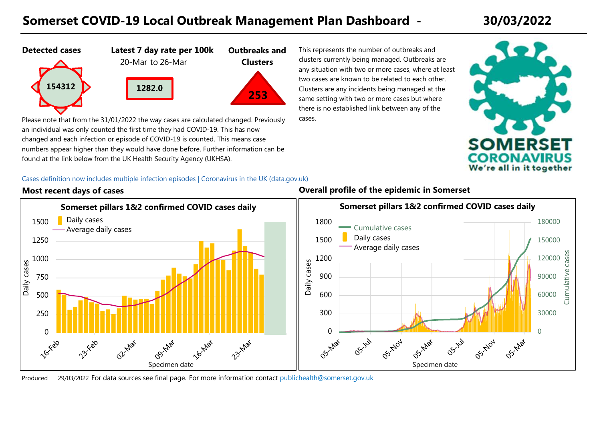# **Somerset COVID-19 Local Outbreak Management Plan Dashboard - 30/03/2022**







**Outbreaks and Clusters**

Please note that from the 31/01/2022 the way cases are calculated changed. Previously an individual was only counted the first time they had COVID-19. This has now changed and each infection or episode of COVID-19 is counted. This means case numbers appear higher than they would have done before. Further information can be found at the link below from the UK Health Security Agency (UKHSA).

**1282.0**

This represents the number of outbreaks and clusters currently being managed. Outbreaks are any situation with two or more cases, where at least two cases are known to be related to each other. Clusters are any incidents being managed at the same setting with two or more cases but where there is no established link between any of the cases.



 $\Omega$ 

OS-Mar

OSTNOV

OS-Jul

30000

60000

90000

Cumulative cases

Cumulative

cases

120000

150000

180000

### [Cas](https://coronavirus.data.gov.uk/details/whats-new/record/beb802ac-1ed2-47ac-b314-69a5c3f712b5)es definition now includes multiple infection episodes | Coronavirus in the UK (data.gov.uk)



**Most recent days of cases Overall profile of the epidemic in Somerset**

Produced For data sources see final page. 29/03/2022 [For more information contact](mailto:publichealth@somerset.gov.uk) publichealth@somerset.gov.uk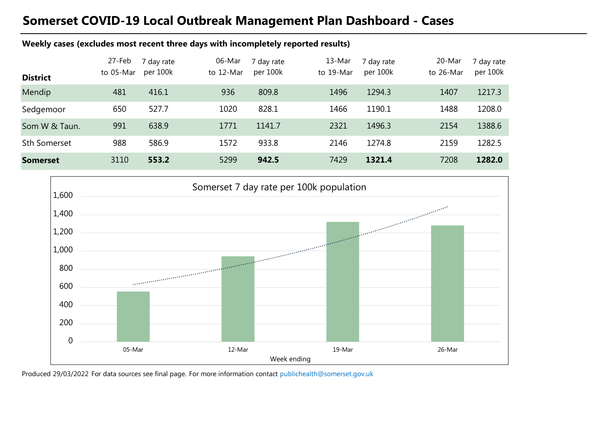## **Somerset COVID-19 Local Outbreak Management Plan Dashboard - Cases**

### **Weekly cases (excludes most recent three days with incompletely reported results)**

|                     | 27-Feb    | 7 day rate | 06-Mar    | 7 day rate | 13-Mar    | 7 day rate | 20-Mar    | 7 day rate |
|---------------------|-----------|------------|-----------|------------|-----------|------------|-----------|------------|
| <b>District</b>     | to 05-Mar | per 100k   | to 12-Mar | per 100k   | to 19-Mar | per 100k   | to 26-Mar | per 100k   |
| Mendip              | 481       | 416.1      | 936       | 809.8      | 1496      | 1294.3     | 1407      | 1217.3     |
| Sedgemoor           | 650       | 527.7      | 1020      | 828.1      | 1466      | 1190.1     | 1488      | 1208.0     |
| Som W & Taun.       | 991       | 638.9      | 1771      | 1141.7     | 2321      | 1496.3     | 2154      | 1388.6     |
| <b>Sth Somerset</b> | 988       | 586.9      | 1572      | 933.8      | 2146      | 1274.8     | 2159      | 1282.5     |
| <b>Somerset</b>     | 3110      | 553.2      | 5299      | 942.5      | 7429      | 1321.4     | 7208      | 1282.0     |



Produced 29/03/2022 For data sources see final page. [For more information contact](mailto:publichealth@somerset.gov.uk) publichealth@somerset.gov.uk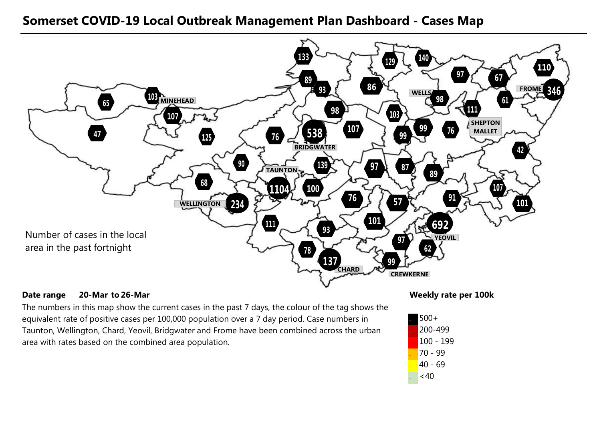### **Somerset COVID-19 Local Outbreak Management Plan Dashboard - Cases Map**



### **Date range** 20-Mar to 26-Mar **20-Mar 26-Mar**

The numbers in this map show the current cases in the past 7 days, the colour of the tag shows the equivalent rate of positive cases per 100,000 population over a 7 day period. Case numbers in Taunton, Wellington, Chard, Yeovil, Bridgwater and Frome have been combined across the urban area with rates based on the combined area population.

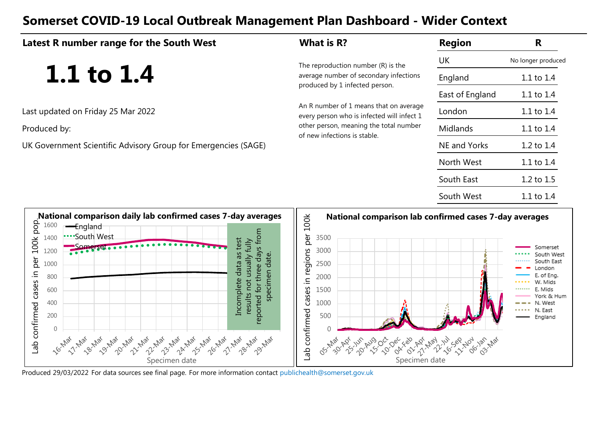## **Somerset COVID-19 Local Outbreak Management Plan Dashboard - Wider Context**

| Latest R number range for the South West                       | What is R?                                                                           | <b>Region</b>   | R                  |
|----------------------------------------------------------------|--------------------------------------------------------------------------------------|-----------------|--------------------|
|                                                                | The reproduction number $(R)$ is the                                                 | UK              | No longer produced |
| 1.1 to $1.4$                                                   | average number of secondary infections<br>produced by 1 infected person.             | England         | 1.1 to 1.4         |
|                                                                |                                                                                      | East of England | 1.1 to 1.4         |
| Last updated on Friday 25 Mar 2022                             | An R number of 1 means that on average<br>every person who is infected will infect 1 | London          | 1.1 to 1.4         |
| Produced by:                                                   | other person, meaning the total number<br>of new infections is stable.               | <b>Midlands</b> | 1.1 to 1.4         |
| UK Government Scientific Advisory Group for Emergencies (SAGE) |                                                                                      | NE and Yorks    | 1.2 to 1.4         |
|                                                                |                                                                                      | North West      | 1.1 to 1.4         |
|                                                                |                                                                                      | South East      | 1.2 to 1.5         |
|                                                                |                                                                                      | South West      | 1.1 to 1.4         |
|                                                                |                                                                                      |                 |                    |



Produced 29/03/2022 For data sources see final page. [For more information contact](mailto:publichealth@somerset.gov.uk) publichealth@somerset.gov.uk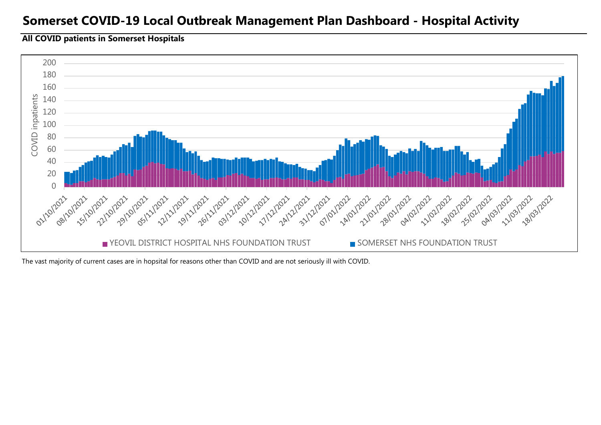### **Somerset COVID-19 Local Outbreak Management Plan Dashboard - Hospital Activity**

### **All COVID patients in Somerset Hospitals**



The vast majority of current cases are in hopsital for reasons other than COVID and are not seriously ill with COVID.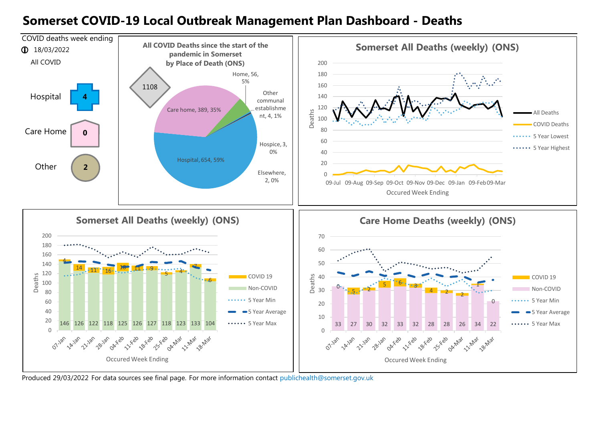### **Somerset COVID-19 Local Outbreak Management Plan Dashboard - Deaths**



Produced 29/03/2022 For data sources see final page. [For more information contact](mailto:publichealth@somerset.gov.uk) publichealth@somerset.gov.uk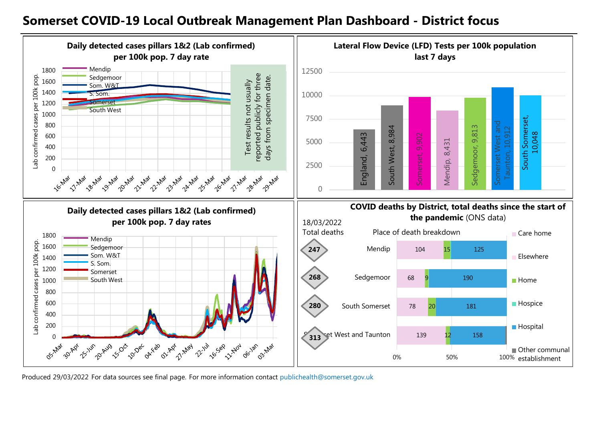### **Somerset COVID-19 Local Outbreak Management Plan Dashboard - District focus**



Produced 29/03/2022 For data sources see final page. [For more information contact](mailto:publichealth@somerset.gov.uk) publichealth@somerset.gov.uk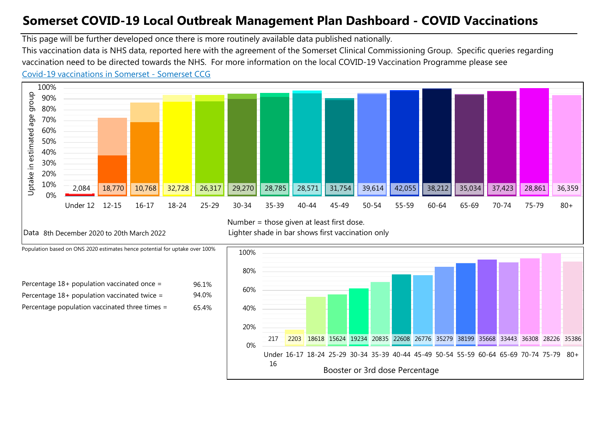# **Somerset COVID-19 Local Outbreak Management Plan Dashboard - COVID Vaccinations**

This page will be further developed once there is more routinely available data published nationally.

This vaccination data is NHS data, reported here with the agreement of the Somerset Clinical Commissioning Group. Specific queries regarding vaccination need to be directed towards the NHS. For more information on the local COVID-19 Vaccination Programme please see

### [Co](https://www.somersetccg.nhs.uk/health/local-services/health-services-during-coronavirus/covid-19-vaccinations-in-somerset/)vid-19 vaccinations in Somerset - Somerset CCG



Number = those given at least first dose.

Data 8th December 2020 to 20th March 2022 Lighter shade in bar shows first vaccination only

Population based on ONS 2020 estimates hence potential for uptake over 100%

| Percentage $18+$ population vaccinated once =  |  |
|------------------------------------------------|--|
| Percentage $18+$ population vaccinated twice = |  |
| Percentage population vaccinated three times = |  |



55-59